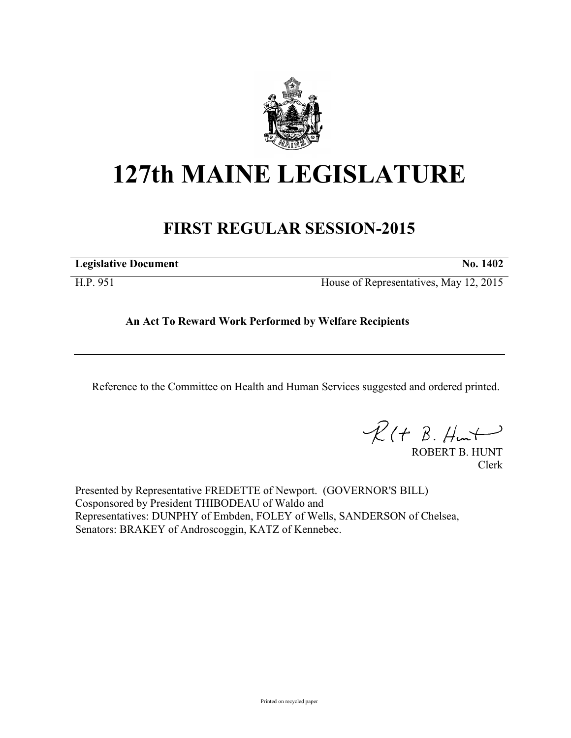

# **127th MAINE LEGISLATURE**

## **FIRST REGULAR SESSION-2015**

| <b>Legislative Document</b> | No. 1402 |
|-----------------------------|----------|
|                             |          |

H.P. 951 House of Representatives, May 12, 2015

### **An Act To Reward Work Performed by Welfare Recipients**

Reference to the Committee on Health and Human Services suggested and ordered printed.

 $R(H B. H<sub>un</sub>+)$ 

ROBERT B. HUNT Clerk

Presented by Representative FREDETTE of Newport. (GOVERNOR'S BILL) Cosponsored by President THIBODEAU of Waldo and Representatives: DUNPHY of Embden, FOLEY of Wells, SANDERSON of Chelsea, Senators: BRAKEY of Androscoggin, KATZ of Kennebec.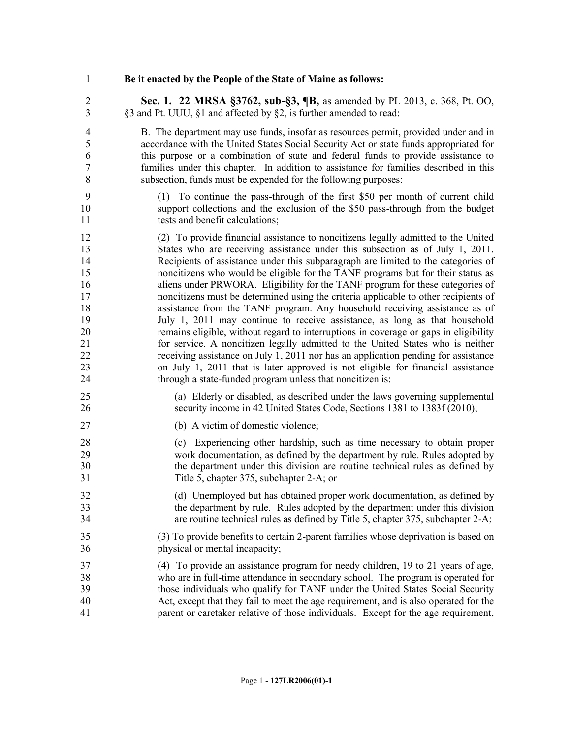#### **Be it enacted by the People of the State of Maine as follows:**

 **Sec. 1. 22 MRSA §3762, sub-§3, ¶B,** as amended by PL 2013, c. 368, Pt. OO, §3 and Pt. UUU, §1 and affected by §2, is further amended to read:

 B. The department may use funds, insofar as resources permit, provided under and in accordance with the United States Social Security Act or state funds appropriated for this purpose or a combination of state and federal funds to provide assistance to families under this chapter. In addition to assistance for families described in this subsection, funds must be expended for the following purposes:

- (1) To continue the pass-through of the first \$50 per month of current child support collections and the exclusion of the \$50 pass-through from the budget 11 tests and benefit calculations;
- (2) To provide financial assistance to noncitizens legally admitted to the United States who are receiving assistance under this subsection as of July 1, 2011. Recipients of assistance under this subparagraph are limited to the categories of noncitizens who would be eligible for the TANF programs but for their status as aliens under PRWORA. Eligibility for the TANF program for these categories of noncitizens must be determined using the criteria applicable to other recipients of assistance from the TANF program. Any household receiving assistance as of July 1, 2011 may continue to receive assistance, as long as that household remains eligible, without regard to interruptions in coverage or gaps in eligibility for service. A noncitizen legally admitted to the United States who is neither receiving assistance on July 1, 2011 nor has an application pending for assistance on July 1, 2011 that is later approved is not eligible for financial assistance through a state-funded program unless that noncitizen is:
- (a) Elderly or disabled, as described under the laws governing supplemental security income in 42 United States Code, Sections 1381 to 1383f (2010);
- 27 (b) A victim of domestic violence;
- (c) Experiencing other hardship, such as time necessary to obtain proper work documentation, as defined by the department by rule. Rules adopted by the department under this division are routine technical rules as defined by Title 5, chapter 375, subchapter 2-A; or
- (d) Unemployed but has obtained proper work documentation, as defined by the department by rule. Rules adopted by the department under this division are routine technical rules as defined by Title 5, chapter 375, subchapter 2-A;
- (3) To provide benefits to certain 2-parent families whose deprivation is based on physical or mental incapacity;
- (4) To provide an assistance program for needy children, 19 to 21 years of age, who are in full-time attendance in secondary school. The program is operated for those individuals who qualify for TANF under the United States Social Security Act, except that they fail to meet the age requirement, and is also operated for the parent or caretaker relative of those individuals. Except for the age requirement,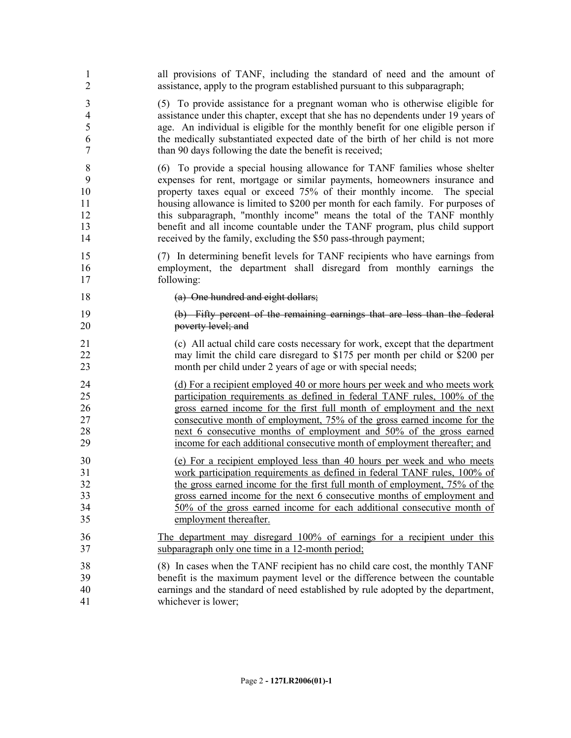| 1              | all provisions of TANF, including the standard of need and the amount of           |
|----------------|------------------------------------------------------------------------------------|
| $\overline{2}$ | assistance, apply to the program established pursuant to this subparagraph;        |
| 3              | (5) To provide assistance for a pregnant woman who is otherwise eligible for       |
| 4              | assistance under this chapter, except that she has no dependents under 19 years of |
| 5              | age. An individual is eligible for the monthly benefit for one eligible person if  |
| 6              | the medically substantiated expected date of the birth of her child is not more    |
| 7              | than 90 days following the date the benefit is received;                           |
| $8\,$          | (6) To provide a special housing allowance for TANF families whose shelter         |
| 9              | expenses for rent, mortgage or similar payments, homeowners insurance and          |
| 10             | property taxes equal or exceed 75% of their monthly income. The special            |
| 11             | housing allowance is limited to \$200 per month for each family. For purposes of   |
| 12             | this subparagraph, "monthly income" means the total of the TANF monthly            |
| 13             | benefit and all income countable under the TANF program, plus child support        |
| 14             | received by the family, excluding the \$50 pass-through payment;                   |
| 15             | (7) In determining benefit levels for TANF recipients who have earnings from       |
| 16             | employment, the department shall disregard from monthly earnings the               |
| 17             | following:                                                                         |
| 18             | (a) One hundred and eight dollars;                                                 |
| 19             | (b) Fifty percent of the remaining earnings that are less than the federal         |
| 20             | poverty level; and                                                                 |
| 21             | (c) All actual child care costs necessary for work, except that the department     |
| 22             | may limit the child care disregard to \$175 per month per child or \$200 per       |
| 23             | month per child under 2 years of age or with special needs;                        |
| 24             | (d) For a recipient employed 40 or more hours per week and who meets work          |
| 25             | participation requirements as defined in federal TANF rules, 100% of the           |
| 26             | gross earned income for the first full month of employment and the next            |
| 27             | consecutive month of employment, 75% of the gross earned income for the            |
| 28             | next 6 consecutive months of employment and 50% of the gross earned                |
| 29             | income for each additional consecutive month of employment thereafter; and         |
| 30             | (e) For a recipient employed less than 40 hours per week and who meets             |
| 31             | work participation requirements as defined in federal TANF rules, 100% of          |
| 32             | the gross earned income for the first full month of employment, 75% of the         |
| 33             | gross earned income for the next 6 consecutive months of employment and            |
| 34             | 50% of the gross earned income for each additional consecutive month of            |
| 35             | employment thereafter.                                                             |
| 36             | The department may disregard 100% of earnings for a recipient under this           |
| 37             | subparagraph only one time in a 12-month period;                                   |
| 38             | (8) In cases when the TANF recipient has no child care cost, the monthly TANF      |
| 39             | benefit is the maximum payment level or the difference between the countable       |
| 40             | earnings and the standard of need established by rule adopted by the department,   |
| 41             | whichever is lower;                                                                |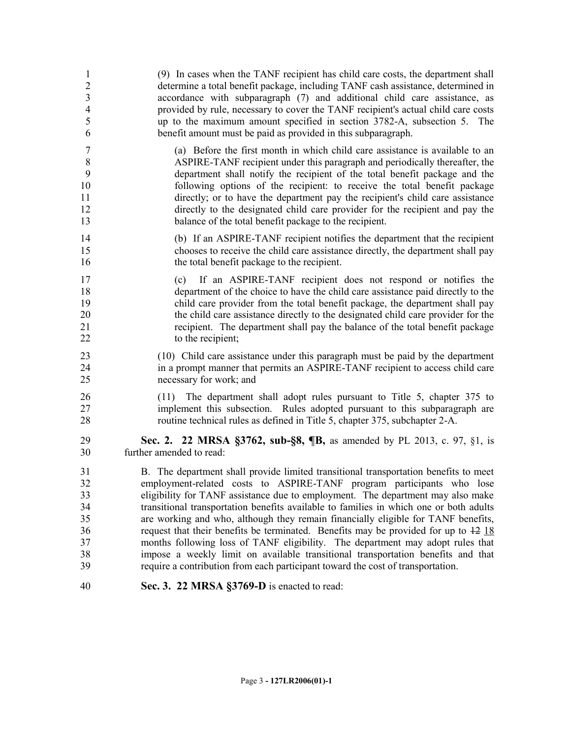| $\mathbf{1}$<br>$\overline{c}$<br>$\overline{\mathbf{3}}$<br>$\overline{4}$<br>5<br>6 | (9) In cases when the TANF recipient has child care costs, the department shall<br>determine a total benefit package, including TANF cash assistance, determined in<br>accordance with subparagraph (7) and additional child care assistance, as<br>provided by rule, necessary to cover the TANF recipient's actual child care costs<br>up to the maximum amount specified in section 3782-A, subsection 5.<br>The<br>benefit amount must be paid as provided in this subparagraph. |
|---------------------------------------------------------------------------------------|--------------------------------------------------------------------------------------------------------------------------------------------------------------------------------------------------------------------------------------------------------------------------------------------------------------------------------------------------------------------------------------------------------------------------------------------------------------------------------------|
| 7                                                                                     | (a) Before the first month in which child care assistance is available to an                                                                                                                                                                                                                                                                                                                                                                                                         |
| 8                                                                                     | ASPIRE-TANF recipient under this paragraph and periodically thereafter, the                                                                                                                                                                                                                                                                                                                                                                                                          |
| 9                                                                                     | department shall notify the recipient of the total benefit package and the                                                                                                                                                                                                                                                                                                                                                                                                           |
| 10                                                                                    | following options of the recipient: to receive the total benefit package                                                                                                                                                                                                                                                                                                                                                                                                             |
| 11                                                                                    | directly; or to have the department pay the recipient's child care assistance                                                                                                                                                                                                                                                                                                                                                                                                        |
| 12                                                                                    | directly to the designated child care provider for the recipient and pay the                                                                                                                                                                                                                                                                                                                                                                                                         |
| 13                                                                                    | balance of the total benefit package to the recipient.                                                                                                                                                                                                                                                                                                                                                                                                                               |
| 14                                                                                    | (b) If an ASPIRE-TANF recipient notifies the department that the recipient                                                                                                                                                                                                                                                                                                                                                                                                           |
| 15                                                                                    | chooses to receive the child care assistance directly, the department shall pay                                                                                                                                                                                                                                                                                                                                                                                                      |
| 16                                                                                    | the total benefit package to the recipient.                                                                                                                                                                                                                                                                                                                                                                                                                                          |
| 17<br>18<br>19<br>20<br>21<br>22                                                      | If an ASPIRE-TANF recipient does not respond or notifies the<br>(c)<br>department of the choice to have the child care assistance paid directly to the<br>child care provider from the total benefit package, the department shall pay<br>the child care assistance directly to the designated child care provider for the<br>recipient. The department shall pay the balance of the total benefit package<br>to the recipient;                                                      |
| 23                                                                                    | (10) Child care assistance under this paragraph must be paid by the department                                                                                                                                                                                                                                                                                                                                                                                                       |
| 24                                                                                    | in a prompt manner that permits an ASPIRE-TANF recipient to access child care                                                                                                                                                                                                                                                                                                                                                                                                        |
| 25                                                                                    | necessary for work; and                                                                                                                                                                                                                                                                                                                                                                                                                                                              |
| 26<br>27<br>28                                                                        | The department shall adopt rules pursuant to Title 5, chapter 375 to<br>(11)<br>implement this subsection. Rules adopted pursuant to this subparagraph are<br>routine technical rules as defined in Title 5, chapter 375, subchapter 2-A.                                                                                                                                                                                                                                            |
| 29                                                                                    | Sec. 2. 22 MRSA §3762, sub-§8, ¶B, as amended by PL 2013, c. 97, §1, is                                                                                                                                                                                                                                                                                                                                                                                                              |
| 30                                                                                    | further amended to read:                                                                                                                                                                                                                                                                                                                                                                                                                                                             |
| 31                                                                                    | B. The department shall provide limited transitional transportation benefits to meet                                                                                                                                                                                                                                                                                                                                                                                                 |
| 32                                                                                    | employment-related costs to ASPIRE-TANF program participants who lose                                                                                                                                                                                                                                                                                                                                                                                                                |
| 33                                                                                    | eligibility for TANF assistance due to employment. The department may also make                                                                                                                                                                                                                                                                                                                                                                                                      |
| 34                                                                                    | transitional transportation benefits available to families in which one or both adults                                                                                                                                                                                                                                                                                                                                                                                               |
| 35                                                                                    | are working and who, although they remain financially eligible for TANF benefits,                                                                                                                                                                                                                                                                                                                                                                                                    |
| 36                                                                                    | request that their benefits be terminated. Benefits may be provided for up to $\frac{12}{18}$                                                                                                                                                                                                                                                                                                                                                                                        |
| 37                                                                                    | months following loss of TANF eligibility. The department may adopt rules that                                                                                                                                                                                                                                                                                                                                                                                                       |
| 38                                                                                    | impose a weekly limit on available transitional transportation benefits and that                                                                                                                                                                                                                                                                                                                                                                                                     |
| 39                                                                                    | require a contribution from each participant toward the cost of transportation.                                                                                                                                                                                                                                                                                                                                                                                                      |
| 40                                                                                    | Sec. 3. 22 MRSA §3769-D is enacted to read:                                                                                                                                                                                                                                                                                                                                                                                                                                          |